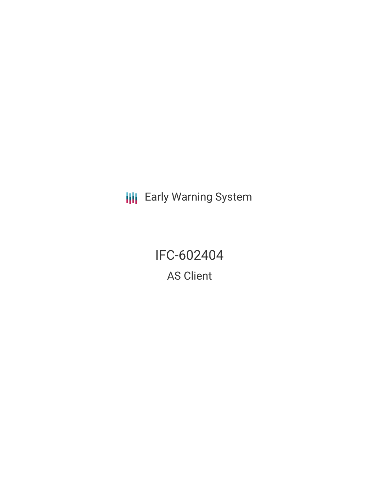**III** Early Warning System

IFC-602404 AS Client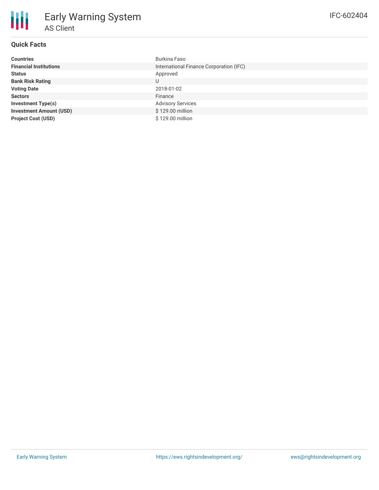| <b>Countries</b>               | Burkina Faso                            |
|--------------------------------|-----------------------------------------|
| <b>Financial Institutions</b>  | International Finance Corporation (IFC) |
| <b>Status</b>                  | Approved                                |
| <b>Bank Risk Rating</b>        | U                                       |
| <b>Voting Date</b>             | 2018-01-02                              |
| <b>Sectors</b>                 | Finance                                 |
| <b>Investment Type(s)</b>      | <b>Advisory Services</b>                |
| <b>Investment Amount (USD)</b> | \$129.00 million                        |
| <b>Project Cost (USD)</b>      | \$129.00 million                        |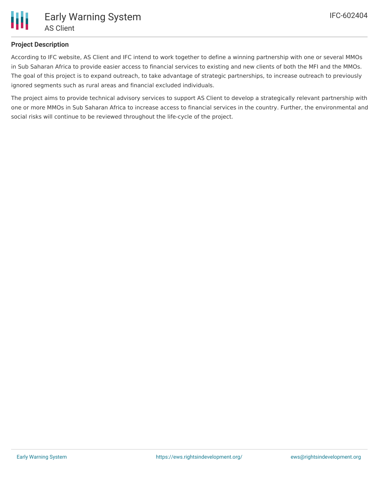

## **Project Description**

According to IFC website, AS Client and IFC intend to work together to define a winning partnership with one or several MMOs in Sub Saharan Africa to provide easier access to financial services to existing and new clients of both the MFI and the MMOs. The goal of this project is to expand outreach, to take advantage of strategic partnerships, to increase outreach to previously ignored segments such as rural areas and financial excluded individuals.

The project aims to provide technical advisory services to support AS Client to develop a strategically relevant partnership with one or more MMOs in Sub Saharan Africa to increase access to financial services in the country. Further, the environmental and social risks will continue to be reviewed throughout the life-cycle of the project.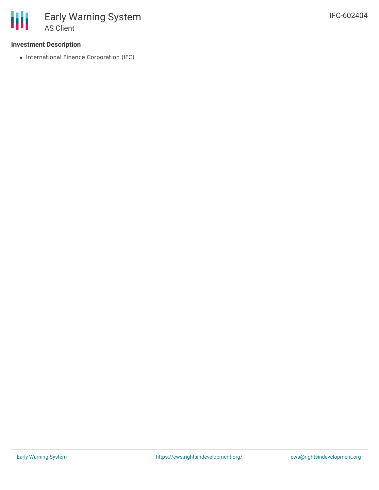## **Investment Description**

• International Finance Corporation (IFC)